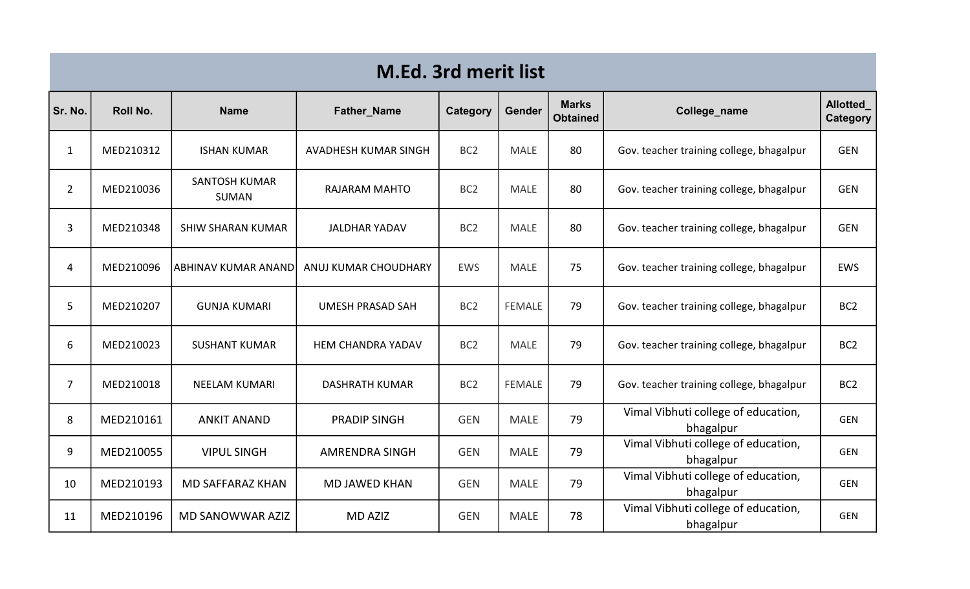| <b>M.Ed. 3rd merit list</b> |           |                                      |                          |                 |               |                                 |                                                  |                                    |  |
|-----------------------------|-----------|--------------------------------------|--------------------------|-----------------|---------------|---------------------------------|--------------------------------------------------|------------------------------------|--|
| Sr. No.                     | Roll No.  | <b>Name</b>                          | <b>Father_Name</b>       | Category        | <b>Gender</b> | <b>Marks</b><br><b>Obtained</b> | College_name                                     | <b>Allotted</b><br><b>Category</b> |  |
| $\mathbf{1}$                | MED210312 | <b>ISHAN KUMAR</b>                   | AVADHESH KUMAR SINGH     | BC <sub>2</sub> | <b>MALE</b>   | 80                              | Gov. teacher training college, bhagalpur         | <b>GEN</b>                         |  |
| $\overline{2}$              | MED210036 | <b>SANTOSH KUMAR</b><br><b>SUMAN</b> | <b>RAJARAM MAHTO</b>     | BC <sub>2</sub> | <b>MALE</b>   | 80                              | Gov. teacher training college, bhagalpur         | <b>GEN</b>                         |  |
| $\overline{3}$              | MED210348 | <b>SHIW SHARAN KUMAR</b>             | <b>JALDHAR YADAV</b>     | BC <sub>2</sub> | <b>MALE</b>   | 80                              | Gov. teacher training college, bhagalpur         | <b>GEN</b>                         |  |
| $\overline{4}$              | MED210096 | labhinav kumar Anand                 | ANUJ KUMAR CHOUDHARY     | <b>EWS</b>      | <b>MALE</b>   | 75                              | Gov. teacher training college, bhagalpur         | <b>EWS</b>                         |  |
| 5                           | MED210207 | <b>GUNJA KUMARI</b>                  | <b>UMESH PRASAD SAH</b>  | BC <sub>2</sub> | <b>FEMALE</b> | 79                              | Gov. teacher training college, bhagalpur         | BC <sub>2</sub>                    |  |
| 6                           | MED210023 | <b>SUSHANT KUMAR</b>                 | <b>HEM CHANDRA YADAV</b> | BC <sub>2</sub> | <b>MALE</b>   | 79                              | Gov. teacher training college, bhagalpur         | BC <sub>2</sub>                    |  |
| $\overline{7}$              | MED210018 | <b>NEELAM KUMARI</b>                 | <b>DASHRATH KUMAR</b>    | BC <sub>2</sub> | <b>FEMALE</b> | 79                              | Gov. teacher training college, bhagalpur         | BC <sub>2</sub>                    |  |
| 8                           | MED210161 | <b>ANKIT ANAND</b>                   | <b>PRADIP SINGH</b>      | <b>GEN</b>      | <b>MALE</b>   | 79                              | Vimal Vibhuti college of education,<br>bhagalpur | <b>GEN</b>                         |  |
| 9                           | MED210055 | <b>VIPUL SINGH</b>                   | <b>AMRENDRA SINGH</b>    | <b>GEN</b>      | <b>MALE</b>   | 79                              | Vimal Vibhuti college of education,<br>bhagalpur | <b>GEN</b>                         |  |
| 10                          | MED210193 | <b>MD SAFFARAZ KHAN</b>              | <b>MD JAWED KHAN</b>     | <b>GEN</b>      | <b>MALE</b>   | 79                              | Vimal Vibhuti college of education,<br>bhagalpur | <b>GEN</b>                         |  |
| 11                          | MED210196 | <b>MD SANOWWAR AZIZ</b>              | <b>MD AZIZ</b>           | <b>GEN</b>      | <b>MALE</b>   | 78                              | Vimal Vibhuti college of education,<br>bhagalpur | <b>GEN</b>                         |  |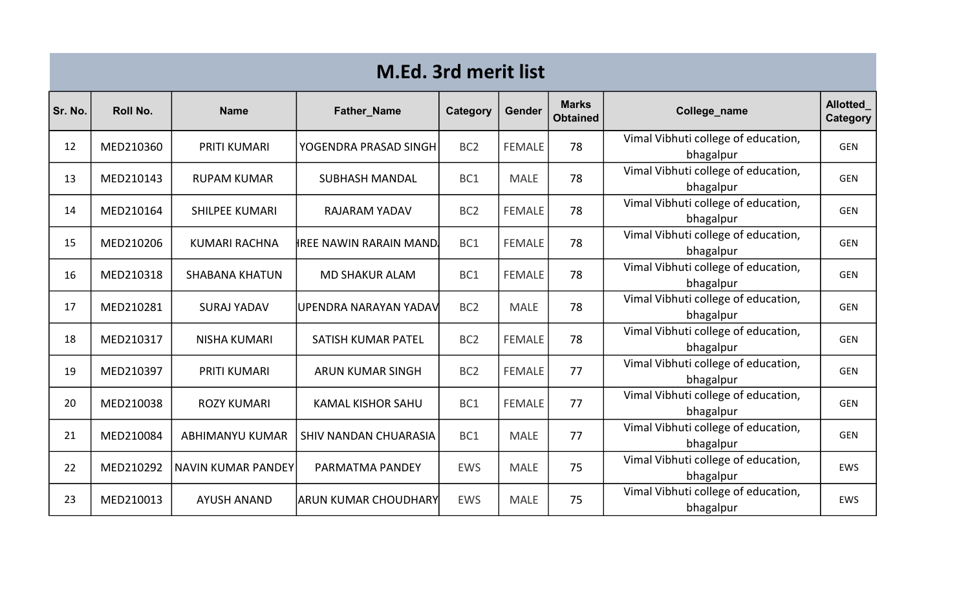| <b>M.Ed. 3rd merit list</b> |           |                           |                                |                 |               |                                 |                                                  |                                    |  |
|-----------------------------|-----------|---------------------------|--------------------------------|-----------------|---------------|---------------------------------|--------------------------------------------------|------------------------------------|--|
| Sr. No.                     | Roll No.  | <b>Name</b>               | Father_Name                    | Category        | <b>Gender</b> | <b>Marks</b><br><b>Obtained</b> | College_name                                     | <b>Allotted</b><br><b>Category</b> |  |
| 12                          | MED210360 | <b>PRITI KUMARI</b>       | YOGENDRA PRASAD SINGH          | BC <sub>2</sub> | <b>FEMALE</b> | 78                              | Vimal Vibhuti college of education,<br>bhagalpur | <b>GEN</b>                         |  |
| 13                          | MED210143 | <b>RUPAM KUMAR</b>        | <b>SUBHASH MANDAL</b>          | BC1             | <b>MALE</b>   | 78                              | Vimal Vibhuti college of education,<br>bhagalpur | <b>GEN</b>                         |  |
| 14                          | MED210164 | <b>SHILPEE KUMARI</b>     | <b>RAJARAM YADAV</b>           | BC <sub>2</sub> | <b>FEMALE</b> | 78                              | Vimal Vibhuti college of education,<br>bhagalpur | <b>GEN</b>                         |  |
| 15                          | MED210206 | <b>KUMARI RACHNA</b>      | <b>IREE NAWIN RARAIN MAND.</b> | BC1             | <b>FEMALE</b> | 78                              | Vimal Vibhuti college of education,<br>bhagalpur | <b>GEN</b>                         |  |
| 16                          | MED210318 | <b>SHABANA KHATUN</b>     | <b>MD SHAKUR ALAM</b>          | BC1             | <b>FEMALE</b> | 78                              | Vimal Vibhuti college of education,<br>bhagalpur | <b>GEN</b>                         |  |
| 17                          | MED210281 | <b>SURAJ YADAV</b>        | UPENDRA NARAYAN YADAV          | BC <sub>2</sub> | <b>MALE</b>   | 78                              | Vimal Vibhuti college of education,<br>bhagalpur | <b>GEN</b>                         |  |
| 18                          | MED210317 | <b>NISHA KUMARI</b>       | <b>SATISH KUMAR PATEL</b>      | BC <sub>2</sub> | <b>FEMALE</b> | 78                              | Vimal Vibhuti college of education,<br>bhagalpur | <b>GEN</b>                         |  |
| 19                          | MED210397 | <b>PRITI KUMARI</b>       | <b>ARUN KUMAR SINGH</b>        | BC <sub>2</sub> | <b>FEMALE</b> | 77                              | Vimal Vibhuti college of education,<br>bhagalpur | <b>GEN</b>                         |  |
| 20                          | MED210038 | <b>ROZY KUMARI</b>        | <b>KAMAL KISHOR SAHU</b>       | BC1             | <b>FEMALE</b> | 77                              | Vimal Vibhuti college of education,<br>bhagalpur | <b>GEN</b>                         |  |
| 21                          | MED210084 | <b>ABHIMANYU KUMAR</b>    | SHIV NANDAN CHUARASIA          | BC1             | <b>MALE</b>   | 77                              | Vimal Vibhuti college of education,<br>bhagalpur | <b>GEN</b>                         |  |
| 22                          | MED210292 | <b>NAVIN KUMAR PANDEY</b> | PARMATMA PANDEY                | <b>EWS</b>      | <b>MALE</b>   | 75                              | Vimal Vibhuti college of education,<br>bhagalpur | <b>EWS</b>                         |  |
| 23                          | MED210013 | <b>AYUSH ANAND</b>        | <b>ARUN KUMAR CHOUDHARY</b>    | <b>EWS</b>      | <b>MALE</b>   | 75                              | Vimal Vibhuti college of education,<br>bhagalpur | <b>EWS</b>                         |  |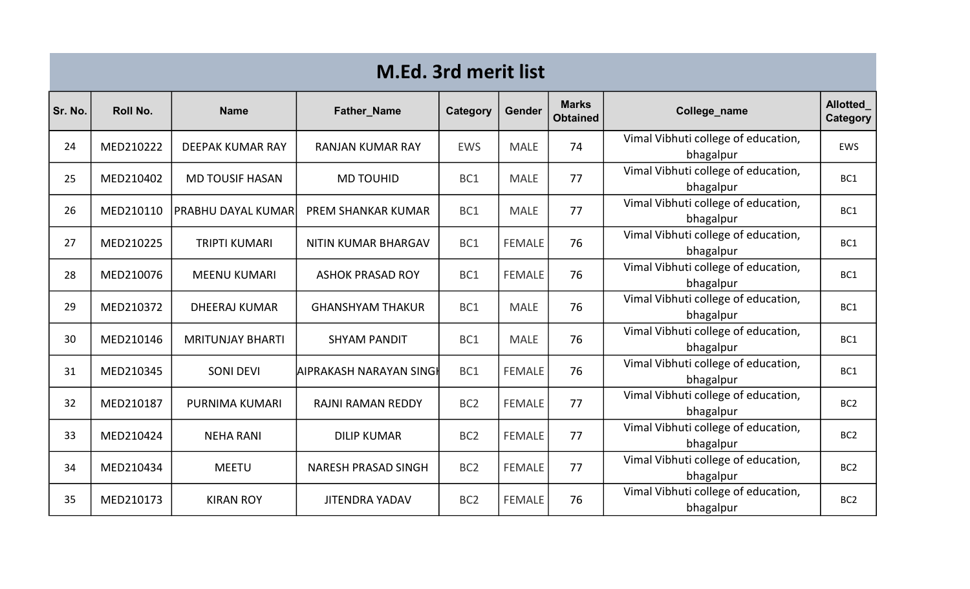| <b>M.Ed. 3rd merit list</b> |           |                         |                            |                 |               |                                 |                                                  |                             |  |
|-----------------------------|-----------|-------------------------|----------------------------|-----------------|---------------|---------------------------------|--------------------------------------------------|-----------------------------|--|
| Sr. No.                     | Roll No.  | <b>Name</b>             | <b>Father_Name</b>         | <b>Category</b> | <b>Gender</b> | <b>Marks</b><br><b>Obtained</b> | College_name                                     | <b>Allotted</b><br>Category |  |
| 24                          | MED210222 | DEEPAK KUMAR RAY        | <b>RANJAN KUMAR RAY</b>    | <b>EWS</b>      | <b>MALE</b>   | 74                              | Vimal Vibhuti college of education,<br>bhagalpur | <b>EWS</b>                  |  |
| 25                          | MED210402 | <b>MD TOUSIF HASAN</b>  | <b>MD TOUHID</b>           | BC1             | <b>MALE</b>   | 77                              | Vimal Vibhuti college of education,<br>bhagalpur | BC1                         |  |
| 26                          | MED210110 | PRABHU DAYAL KUMAR      | <b>PREM SHANKAR KUMAR</b>  | BC1             | <b>MALE</b>   | 77                              | Vimal Vibhuti college of education,<br>bhagalpur | BC1                         |  |
| 27                          | MED210225 | <b>TRIPTI KUMARI</b>    | <b>NITIN KUMAR BHARGAV</b> | BC1             | <b>FEMALE</b> | 76                              | Vimal Vibhuti college of education,<br>bhagalpur | BC1                         |  |
| 28                          | MED210076 | <b>MEENU KUMARI</b>     | <b>ASHOK PRASAD ROY</b>    | BC1             | <b>FEMALE</b> | 76                              | Vimal Vibhuti college of education,<br>bhagalpur | BC1                         |  |
| 29                          | MED210372 | <b>DHEERAJ KUMAR</b>    | <b>GHANSHYAM THAKUR</b>    | BC1             | <b>MALE</b>   | 76                              | Vimal Vibhuti college of education,<br>bhagalpur | BC <sub>1</sub>             |  |
| 30                          | MED210146 | <b>MRITUNJAY BHARTI</b> | <b>SHYAM PANDIT</b>        | BC1             | <b>MALE</b>   | 76                              | Vimal Vibhuti college of education,<br>bhagalpur | BC1                         |  |
| 31                          | MED210345 | <b>SONI DEVI</b>        | AIPRAKASH NARAYAN SINGI    | BC1             | <b>FEMALE</b> | 76                              | Vimal Vibhuti college of education,<br>bhagalpur | BC1                         |  |
| 32                          | MED210187 | PURNIMA KUMARI          | <b>RAJNI RAMAN REDDY</b>   | BC <sub>2</sub> | <b>FEMALE</b> | 77                              | Vimal Vibhuti college of education,<br>bhagalpur | BC <sub>2</sub>             |  |
| 33                          | MED210424 | <b>NEHA RANI</b>        | <b>DILIP KUMAR</b>         | BC <sub>2</sub> | <b>FEMALE</b> | 77                              | Vimal Vibhuti college of education,<br>bhagalpur | BC <sub>2</sub>             |  |
| 34                          | MED210434 | <b>MEETU</b>            | NARESH PRASAD SINGH        | BC <sub>2</sub> | <b>FEMALE</b> | 77                              | Vimal Vibhuti college of education,<br>bhagalpur | BC <sub>2</sub>             |  |
| 35                          | MED210173 | <b>KIRAN ROY</b>        | <b>JITENDRA YADAV</b>      | BC <sub>2</sub> | <b>FEMALE</b> | 76                              | Vimal Vibhuti college of education,<br>bhagalpur | BC <sub>2</sub>             |  |